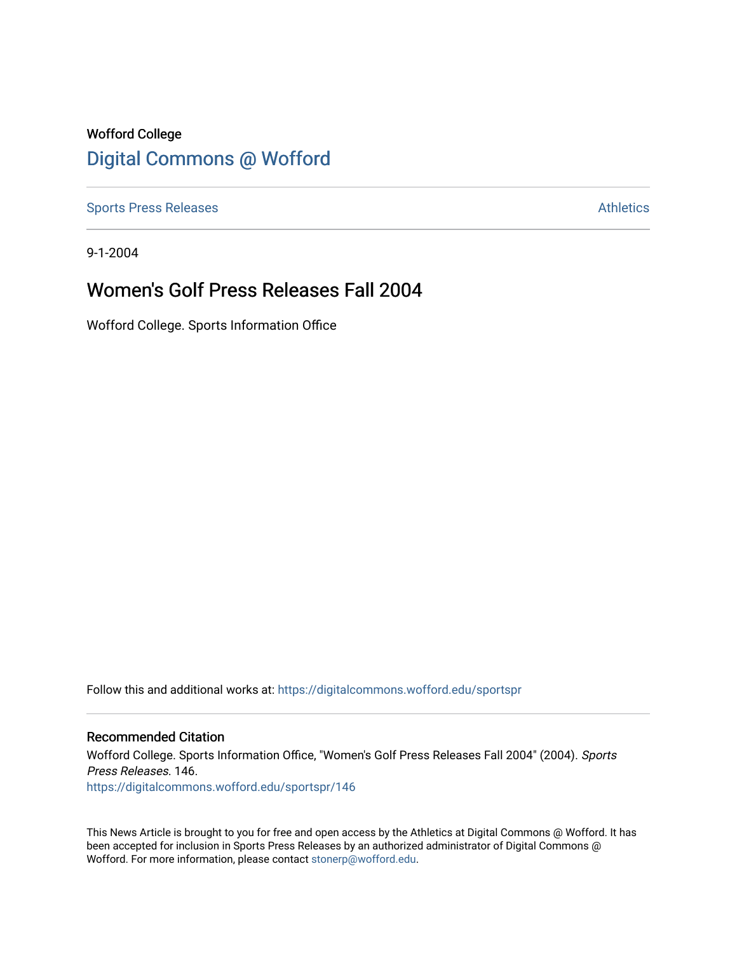# Wofford College [Digital Commons @ Wofford](https://digitalcommons.wofford.edu/)

[Sports Press Releases](https://digitalcommons.wofford.edu/sportspr) **Athletics** [Athletics](https://digitalcommons.wofford.edu/athletics) **Athletics** 

9-1-2004

# Women's Golf Press Releases Fall 2004

Wofford College. Sports Information Office

Follow this and additional works at: [https://digitalcommons.wofford.edu/sportspr](https://digitalcommons.wofford.edu/sportspr?utm_source=digitalcommons.wofford.edu%2Fsportspr%2F146&utm_medium=PDF&utm_campaign=PDFCoverPages)

## Recommended Citation

Wofford College. Sports Information Office, "Women's Golf Press Releases Fall 2004" (2004). Sports Press Releases. 146. [https://digitalcommons.wofford.edu/sportspr/146](https://digitalcommons.wofford.edu/sportspr/146?utm_source=digitalcommons.wofford.edu%2Fsportspr%2F146&utm_medium=PDF&utm_campaign=PDFCoverPages) 

This News Article is brought to you for free and open access by the Athletics at Digital Commons @ Wofford. It has been accepted for inclusion in Sports Press Releases by an authorized administrator of Digital Commons @ Wofford. For more information, please contact [stonerp@wofford.edu.](mailto:stonerp@wofford.edu)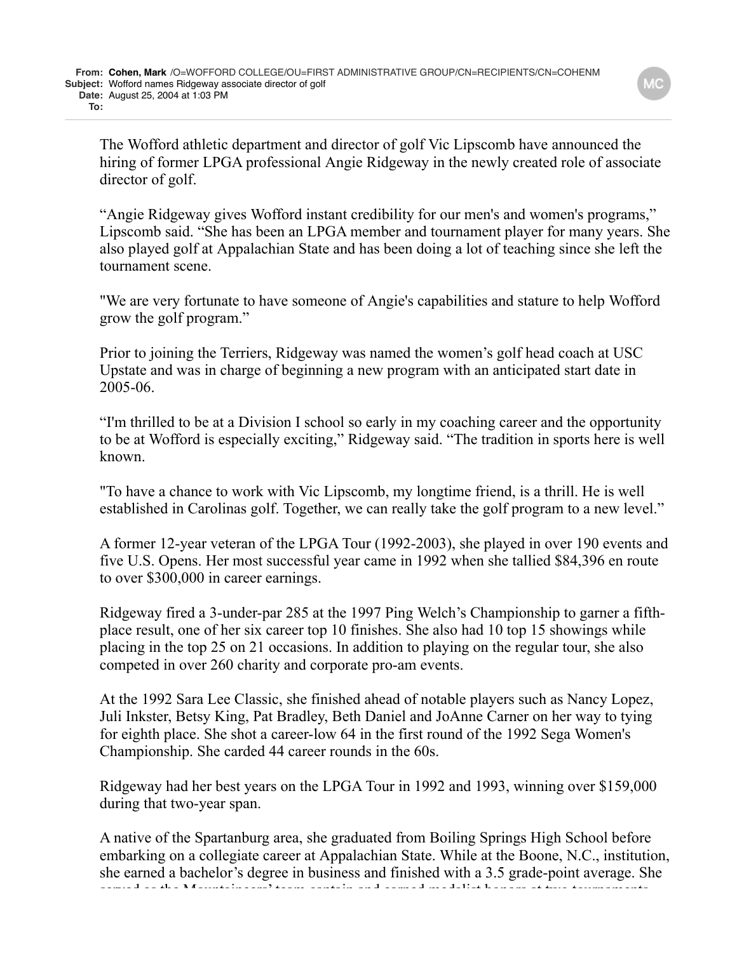The Wofford athletic department and director of golf Vic Lipscomb have announced the hiring of former LPGA professional Angie Ridgeway in the newly created role of associate director of golf.

"Angie Ridgeway gives Wofford instant credibility for our men's and women's programs," Lipscomb said. "She has been an LPGA member and tournament player for many years. She also played golf at Appalachian State and has been doing a lot of teaching since she left the tournament scene.

"We are very fortunate to have someone of Angie's capabilities and stature to help Wofford grow the golf program."

Prior to joining the Terriers, Ridgeway was named the women's golf head coach at USC Upstate and was in charge of beginning a new program with an anticipated start date in 2005-06.

"I'm thrilled to be at a Division I school so early in my coaching career and the opportunity to be at Wofford is especially exciting," Ridgeway said. "The tradition in sports here is well known.

"To have a chance to work with Vic Lipscomb, my longtime friend, is a thrill. He is well established in Carolinas golf. Together, we can really take the golf program to a new level."

A former 12-year veteran of the LPGA Tour (1992-2003), she played in over 190 events and five U.S. Opens. Her most successful year came in 1992 when she tallied \$84,396 en route to over \$300,000 in career earnings.

Ridgeway fired a 3-under-par 285 at the 1997 Ping Welch's Championship to garner a fifthplace result, one of her six career top 10 finishes. She also had 10 top 15 showings while placing in the top 25 on 21 occasions. In addition to playing on the regular tour, she also competed in over 260 charity and corporate pro-am events.

At the 1992 Sara Lee Classic, she finished ahead of notable players such as Nancy Lopez, Juli Inkster, Betsy King, Pat Bradley, Beth Daniel and JoAnne Carner on her way to tying for eighth place. She shot a career-low 64 in the first round of the 1992 Sega Women's Championship. She carded 44 career rounds in the 60s.

Ridgeway had her best years on the LPGA Tour in 1992 and 1993, winning over \$159,000 during that two-year span.

A native of the Spartanburg area, she graduated from Boiling Springs High School before embarking on a collegiate career at Appalachian State. While at the Boone, N.C., institution, she earned a bachelor's degree in business and finished with a 3.5 grade-point average. She served as the Mountaineers' team captain and earned medalist honors at two tournaments.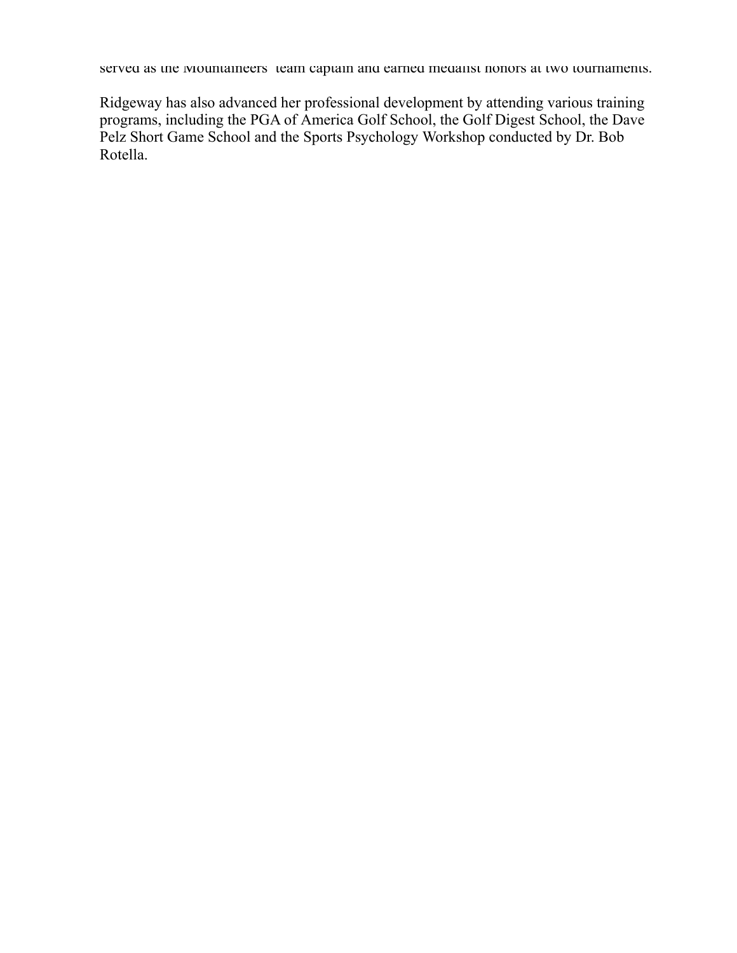served as the Mountaineers' team captain and earned medalist honors at two tournaments.

Ridgeway has also advanced her professional development by attending various training programs, including the PGA of America Golf School, the Golf Digest School, the Dave Pelz Short Game School and the Sports Psychology Workshop conducted by Dr. Bob Rotella.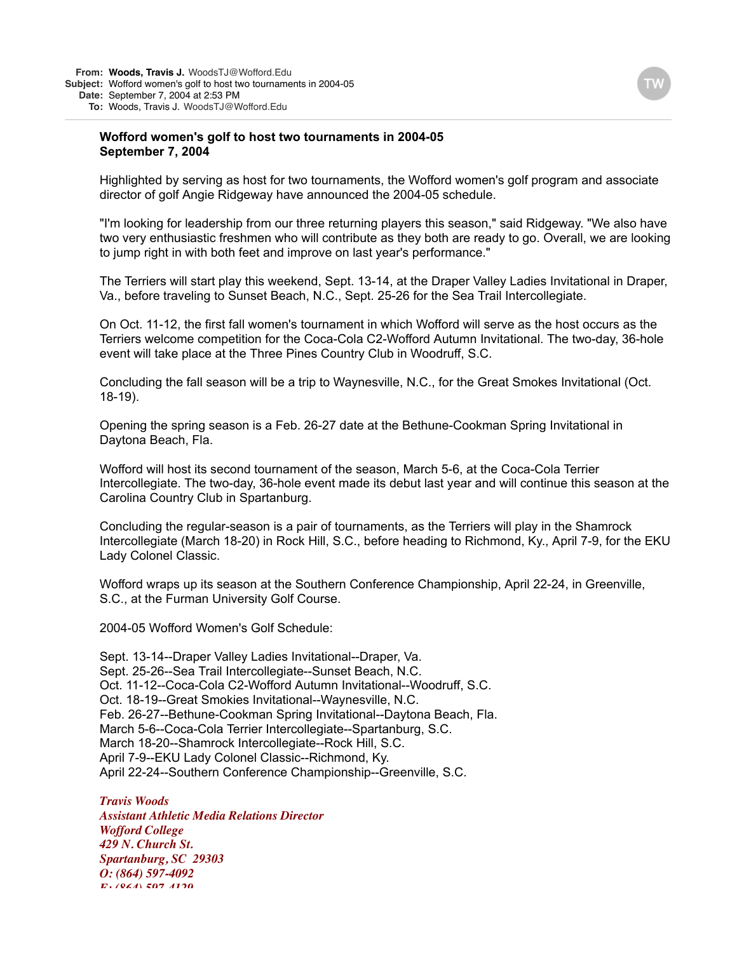#### **Wofford women's golf to host two tournaments in 2004-05 September 7, 2004**

Highlighted by serving as host for two tournaments, the Wofford women's golf program and associate director of golf Angie Ridgeway have announced the 2004-05 schedule.

"I'm looking for leadership from our three returning players this season," said Ridgeway. "We also have two very enthusiastic freshmen who will contribute as they both are ready to go. Overall, we are looking to jump right in with both feet and improve on last year's performance."

The Terriers will start play this weekend, Sept. 13-14, at the Draper Valley Ladies Invitational in Draper, Va., before traveling to Sunset Beach, N.C., Sept. 25-26 for the Sea Trail Intercollegiate.

On Oct. 11-12, the first fall women's tournament in which Wofford will serve as the host occurs as the Terriers welcome competition for the Coca-Cola C2-Wofford Autumn Invitational. The two-day, 36-hole event will take place at the Three Pines Country Club in Woodruff, S.C.

Concluding the fall season will be a trip to Waynesville, N.C., for the Great Smokes Invitational (Oct. 18-19).

Opening the spring season is a Feb. 26-27 date at the Bethune-Cookman Spring Invitational in Daytona Beach, Fla.

Wofford will host its second tournament of the season, March 5-6, at the Coca-Cola Terrier Intercollegiate. The two-day, 36-hole event made its debut last year and will continue this season at the Carolina Country Club in Spartanburg.

Concluding the regular-season is a pair of tournaments, as the Terriers will play in the Shamrock Intercollegiate (March 18-20) in Rock Hill, S.C., before heading to Richmond, Ky., April 7-9, for the EKU Lady Colonel Classic.

Wofford wraps up its season at the Southern Conference Championship, April 22-24, in Greenville, S.C., at the Furman University Golf Course.

2004-05 Wofford Women's Golf Schedule:

Sept. 13-14--Draper Valley Ladies Invitational--Draper, Va. Sept. 25-26--Sea Trail Intercollegiate--Sunset Beach, N.C. Oct. 11-12--Coca-Cola C2-Wofford Autumn Invitational--Woodruff, S.C. Oct. 18-19--Great Smokies Invitational--Waynesville, N.C. Feb. 26-27--Bethune-Cookman Spring Invitational--Daytona Beach, Fla. March 5-6--Coca-Cola Terrier Intercollegiate--Spartanburg, S.C. March 18-20--Shamrock Intercollegiate--Rock Hill, S.C. April 7-9--EKU Lady Colonel Classic--Richmond, Ky. April 22-24--Southern Conference Championship--Greenville, S.C.

*Travis Woods Assistant Athletic Media Relations Director Wofford College 429 N. Church St. Spartanburg, SC 29303 O: (864) 597-4092 F: (864) 597-4129*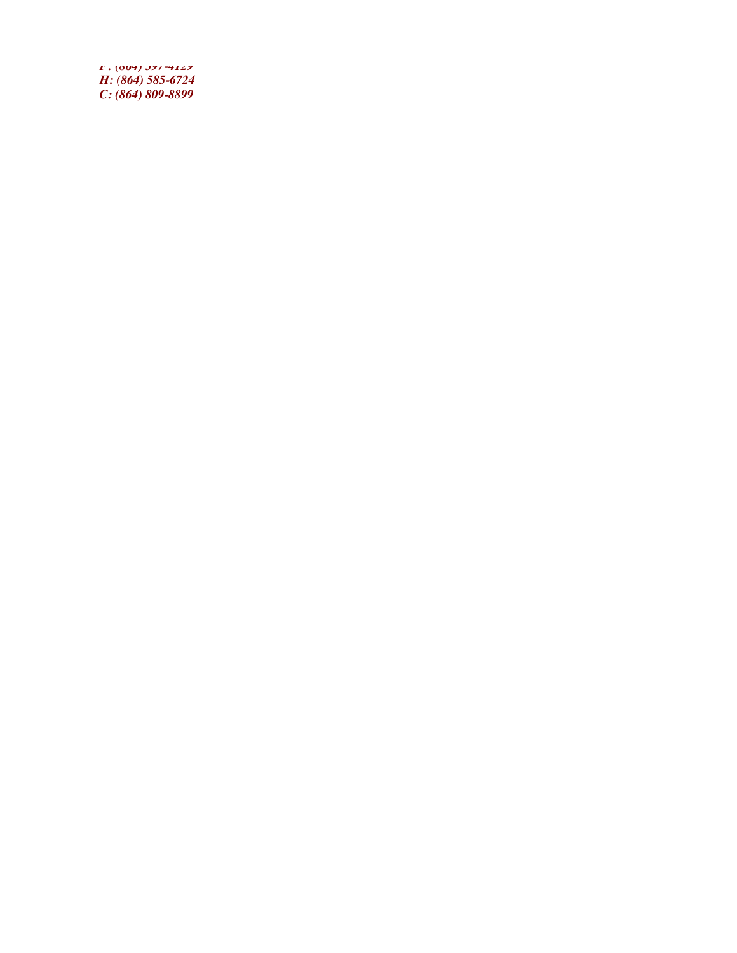*F: (864) 597-4129 H: (864) 585-6724 C: (864) 809-8899*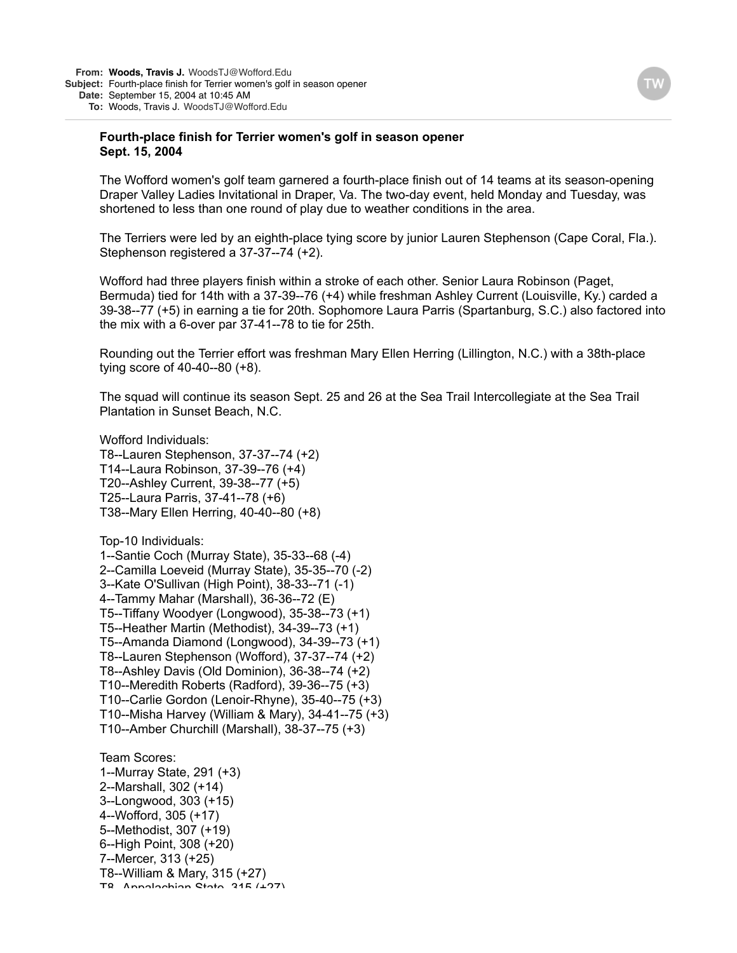#### **Fourth-place finish for Terrier women's golf in season opener Sept. 15, 2004**

The Wofford women's golf team garnered a fourth-place finish out of 14 teams at its season-opening Draper Valley Ladies Invitational in Draper, Va. The two-day event, held Monday and Tuesday, was shortened to less than one round of play due to weather conditions in the area.

The Terriers were led by an eighth-place tying score by junior Lauren Stephenson (Cape Coral, Fla.). Stephenson registered a 37-37--74 (+2).

Wofford had three players finish within a stroke of each other. Senior Laura Robinson (Paget, Bermuda) tied for 14th with a 37-39--76 (+4) while freshman Ashley Current (Louisville, Ky.) carded a 39-38--77 (+5) in earning a tie for 20th. Sophomore Laura Parris (Spartanburg, S.C.) also factored into the mix with a 6-over par 37-41--78 to tie for 25th.

Rounding out the Terrier effort was freshman Mary Ellen Herring (Lillington, N.C.) with a 38th-place tying score of 40-40--80 (+8).

The squad will continue its season Sept. 25 and 26 at the Sea Trail Intercollegiate at the Sea Trail Plantation in Sunset Beach, N.C.

Wofford Individuals: T8--Lauren Stephenson, 37-37--74 (+2) T14--Laura Robinson, 37-39--76 (+4) T20--Ashley Current, 39-38--77 (+5) T25--Laura Parris, 37-41--78 (+6) T38--Mary Ellen Herring, 40-40--80 (+8)

Top-10 Individuals:

1--Santie Coch (Murray State), 35-33--68 (-4) 2--Camilla Loeveid (Murray State), 35-35--70 (-2) 3--Kate O'Sullivan (High Point), 38-33--71 (-1) 4--Tammy Mahar (Marshall), 36-36--72 (E) T5--Tiffany Woodyer (Longwood), 35-38--73 (+1) T5--Heather Martin (Methodist), 34-39--73 (+1) T5--Amanda Diamond (Longwood), 34-39--73 (+1) T8--Lauren Stephenson (Wofford), 37-37--74 (+2) T8--Ashley Davis (Old Dominion), 36-38--74 (+2) T10--Meredith Roberts (Radford), 39-36--75 (+3) T10--Carlie Gordon (Lenoir-Rhyne), 35-40--75 (+3) T10--Misha Harvey (William & Mary), 34-41--75 (+3) T10--Amber Churchill (Marshall), 38-37--75 (+3)

Team Scores: 1--Murray State, 291 (+3) 2--Marshall, 302 (+14) 3--Longwood, 303 (+15) 4--Wofford, 305 (+17) 5--Methodist, 307 (+19) 6--High Point, 308 (+20) 7--Mercer, 313 (+25) T8--William & Mary, 315 (+27) TQ Annalachian Ctate, 315 (±27)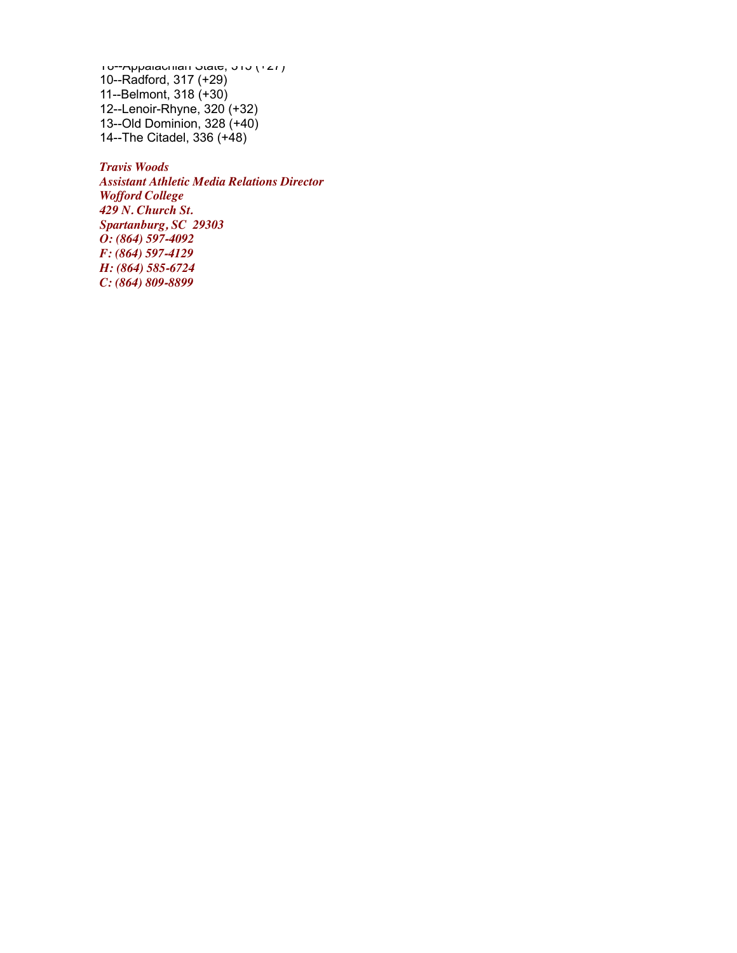$T$  Ta--Appalachian State, 315 ( $T$ 27) 10--Radford, 317 (+29) 11--Belmont, 318 (+30) 12--Lenoir-Rhyne, 320 (+32) 13--Old Dominion, 328 (+40) 14--The Citadel, 336 (+48)

# *Travis Woods*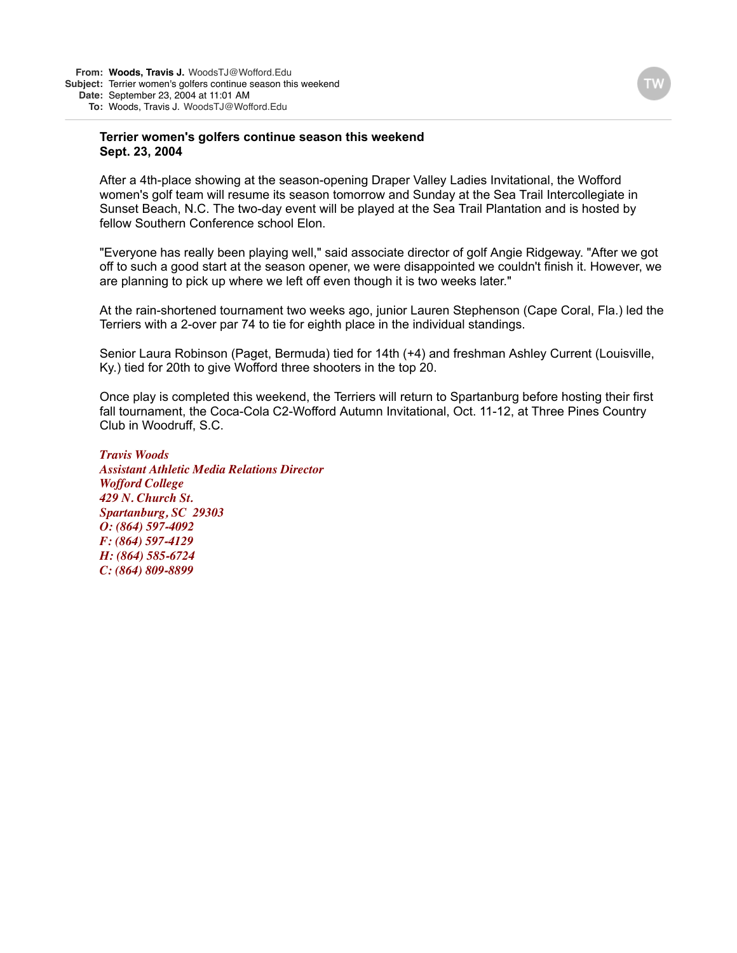#### **Terrier women's golfers continue season this weekend Sept. 23, 2004**

After a 4th-place showing at the season-opening Draper Valley Ladies Invitational, the Wofford women's golf team will resume its season tomorrow and Sunday at the Sea Trail Intercollegiate in Sunset Beach, N.C. The two-day event will be played at the Sea Trail Plantation and is hosted by fellow Southern Conference school Elon.

"Everyone has really been playing well," said associate director of golf Angie Ridgeway. "After we got off to such a good start at the season opener, we were disappointed we couldn't finish it. However, we are planning to pick up where we left off even though it is two weeks later."

At the rain-shortened tournament two weeks ago, junior Lauren Stephenson (Cape Coral, Fla.) led the Terriers with a 2-over par 74 to tie for eighth place in the individual standings.

Senior Laura Robinson (Paget, Bermuda) tied for 14th (+4) and freshman Ashley Current (Louisville, Ky.) tied for 20th to give Wofford three shooters in the top 20.

Once play is completed this weekend, the Terriers will return to Spartanburg before hosting their first fall tournament, the Coca-Cola C2-Wofford Autumn Invitational, Oct. 11-12, at Three Pines Country Club in Woodruff, S.C.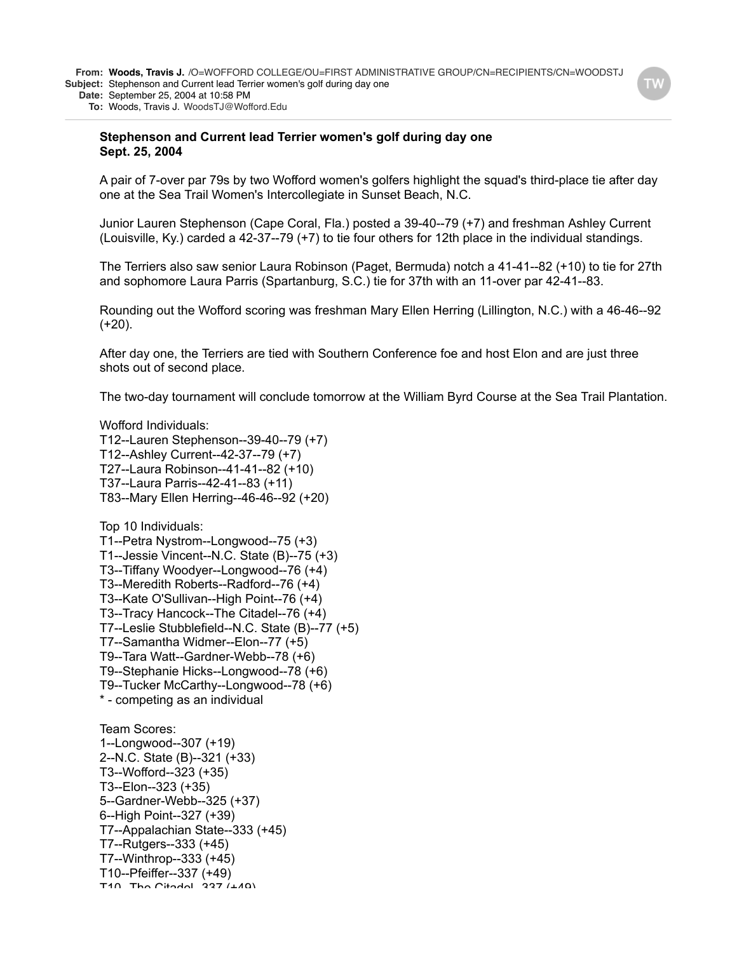**To:** Woods, Travis J. WoodsTJ@Wofford.Edu

#### **Stephenson and Current lead Terrier women's golf during day one Sept. 25, 2004**

A pair of 7-over par 79s by two Wofford women's golfers highlight the squad's third-place tie after day one at the Sea Trail Women's Intercollegiate in Sunset Beach, N.C.

Junior Lauren Stephenson (Cape Coral, Fla.) posted a 39-40--79 (+7) and freshman Ashley Current (Louisville, Ky.) carded a 42-37--79 (+7) to tie four others for 12th place in the individual standings.

The Terriers also saw senior Laura Robinson (Paget, Bermuda) notch a 41-41--82 (+10) to tie for 27th and sophomore Laura Parris (Spartanburg, S.C.) tie for 37th with an 11-over par 42-41--83.

Rounding out the Wofford scoring was freshman Mary Ellen Herring (Lillington, N.C.) with a 46-46--92  $(+20)$ .

After day one, the Terriers are tied with Southern Conference foe and host Elon and are just three shots out of second place.

The two-day tournament will conclude tomorrow at the William Byrd Course at the Sea Trail Plantation.

#### Wofford Individuals:

```
T12--Lauren Stephenson--39-40--79 (+7)
T12--Ashley Current--42-37--79 (+7)
T27--Laura Robinson--41-41--82 (+10)
T37--Laura Parris--42-41--83 (+11)
T83--Mary Ellen Herring--46-46--92 (+20)
```

```
Top 10 Individuals:
T1--Petra Nystrom--Longwood--75 (+3)
T1--Jessie Vincent--N.C. State (B)--75 (+3)
T3--Tiffany Woodyer--Longwood--76 (+4)
T3--Meredith Roberts--Radford--76 (+4)
T3--Kate O'Sullivan--High Point--76 (+4)
T3--Tracy Hancock--The Citadel--76 (+4)
T7--Leslie Stubblefield--N.C. State (B)--77 (+5)
T7--Samantha Widmer--Elon--77 (+5)
T9--Tara Watt--Gardner-Webb--78 (+6)
T9--Stephanie Hicks--Longwood--78 (+6)
T9--Tucker McCarthy--Longwood--78 (+6)
* - competing as an individual
Team Scores:
1--Longwood--307 (+19)
2--N.C. State (B)--321 (+33)
T3--Wofford--323 (+35)
T3--Elon--323 (+35)
5--Gardner-Webb--325 (+37)
6--High Point--327 (+39)
T7--Appalachian State--333 (+45)
T7--Rutgers--333 (+45)
T7--Winthrop--333 (+45)
T10--Pfeiffer--337 (+49)
T10 The Citadel-237 (140)
```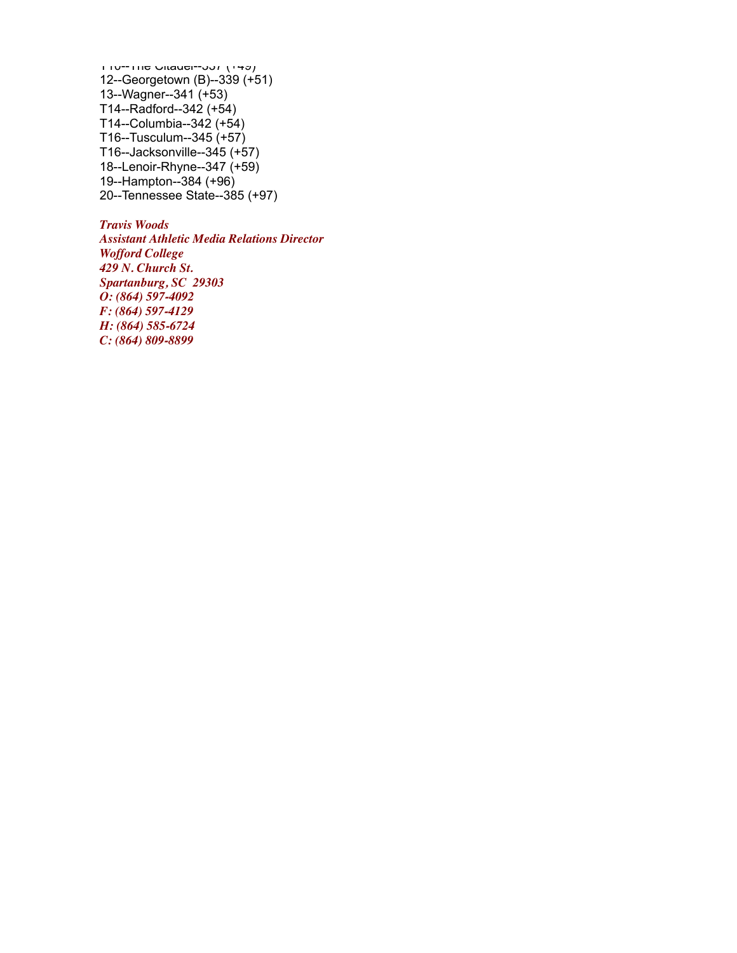$T$ 110--The Citadel--337 ( $T+3$ ) 12--Georgetown (B)--339 (+51) 13--Wagner--341 (+53) T14--Radford--342 (+54) T14--Columbia--342 (+54) T16--Tusculum--345 (+57) T16--Jacksonville--345 (+57) 18--Lenoir-Rhyne--347 (+59) 19--Hampton--384 (+96) 20--Tennessee State--385 (+97)

## *Travis Woods*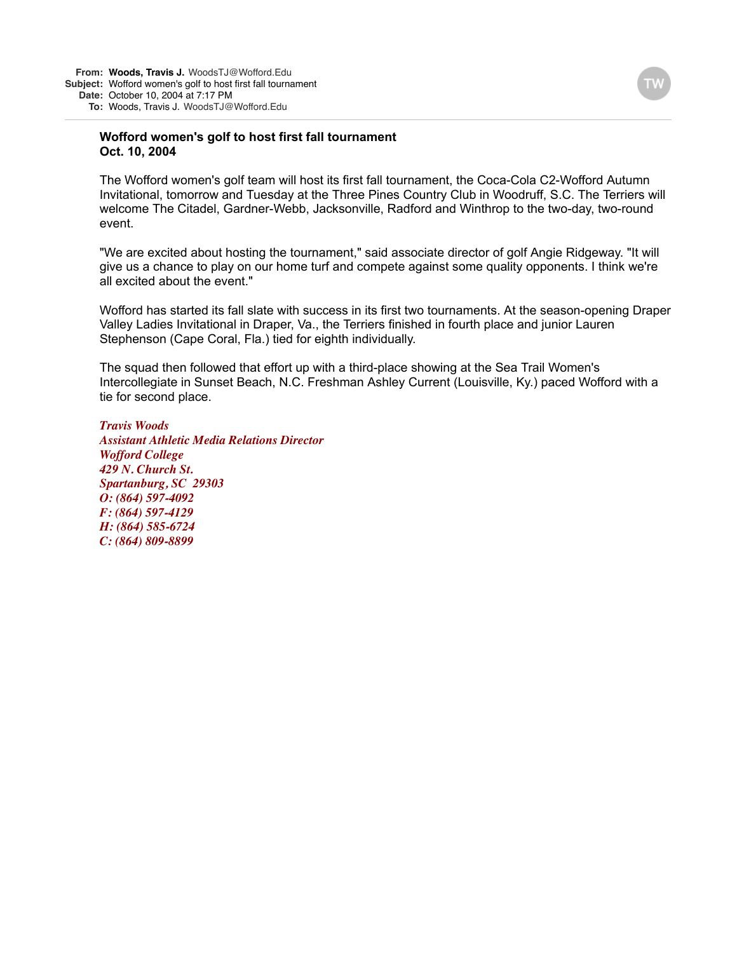#### **Wofford women's golf to host first fall tournament Oct. 10, 2004**

The Wofford women's golf team will host its first fall tournament, the Coca-Cola C2-Wofford Autumn Invitational, tomorrow and Tuesday at the Three Pines Country Club in Woodruff, S.C. The Terriers will welcome The Citadel, Gardner-Webb, Jacksonville, Radford and Winthrop to the two-day, two-round event.

"We are excited about hosting the tournament," said associate director of golf Angie Ridgeway. "It will give us a chance to play on our home turf and compete against some quality opponents. I think we're all excited about the event."

Wofford has started its fall slate with success in its first two tournaments. At the season-opening Draper Valley Ladies Invitational in Draper, Va., the Terriers finished in fourth place and junior Lauren Stephenson (Cape Coral, Fla.) tied for eighth individually.

The squad then followed that effort up with a third-place showing at the Sea Trail Women's Intercollegiate in Sunset Beach, N.C. Freshman Ashley Current (Louisville, Ky.) paced Wofford with a tie for second place.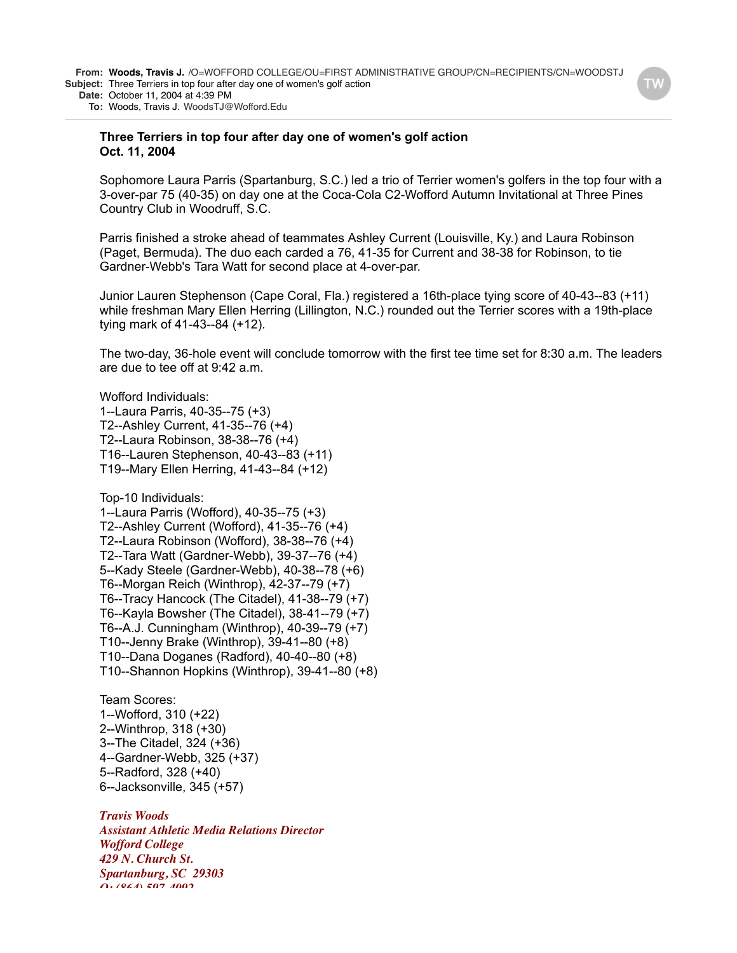**Date:** October 11, 2004 at 4:39 PM

**To:** Woods, Travis J. WoodsTJ@Wofford.Edu

#### **Three Terriers in top four after day one of women's golf action Oct. 11, 2004**

Sophomore Laura Parris (Spartanburg, S.C.) led a trio of Terrier women's golfers in the top four with a 3-over-par 75 (40-35) on day one at the Coca-Cola C2-Wofford Autumn Invitational at Three Pines Country Club in Woodruff, S.C.

Parris finished a stroke ahead of teammates Ashley Current (Louisville, Ky.) and Laura Robinson (Paget, Bermuda). The duo each carded a 76, 41-35 for Current and 38-38 for Robinson, to tie Gardner-Webb's Tara Watt for second place at 4-over-par.

Junior Lauren Stephenson (Cape Coral, Fla.) registered a 16th-place tying score of 40-43--83 (+11) while freshman Mary Ellen Herring (Lillington, N.C.) rounded out the Terrier scores with a 19th-place tying mark of 41-43--84 (+12).

The two-day, 36-hole event will conclude tomorrow with the first tee time set for 8:30 a.m. The leaders are due to tee off at 9:42 a.m.

Wofford Individuals: 1--Laura Parris, 40-35--75 (+3) T2--Ashley Current, 41-35--76 (+4) T2--Laura Robinson, 38-38--76 (+4) T16--Lauren Stephenson, 40-43--83 (+11) T19--Mary Ellen Herring, 41-43--84 (+12)

Top-10 Individuals:

1--Laura Parris (Wofford), 40-35--75 (+3) T2--Ashley Current (Wofford), 41-35--76 (+4) T2--Laura Robinson (Wofford), 38-38--76 (+4) T2--Tara Watt (Gardner-Webb), 39-37--76 (+4) 5--Kady Steele (Gardner-Webb), 40-38--78 (+6) T6--Morgan Reich (Winthrop), 42-37--79 (+7) T6--Tracy Hancock (The Citadel), 41-38--79 (+7) T6--Kayla Bowsher (The Citadel), 38-41--79 (+7) T6--A.J. Cunningham (Winthrop), 40-39--79 (+7) T10--Jenny Brake (Winthrop), 39-41--80 (+8) T10--Dana Doganes (Radford), 40-40--80 (+8) T10--Shannon Hopkins (Winthrop), 39-41--80 (+8)

Team Scores: 1--Wofford, 310 (+22) 2--Winthrop, 318 (+30) 3--The Citadel, 324 (+36) 4--Gardner-Webb, 325 (+37) 5--Radford, 328 (+40) 6--Jacksonville, 345 (+57)

*Travis Woods Assistant Athletic Media Relations Director Wofford College 429 N. Church St. Spartanburg, SC 29303 O: (864) 597-4092*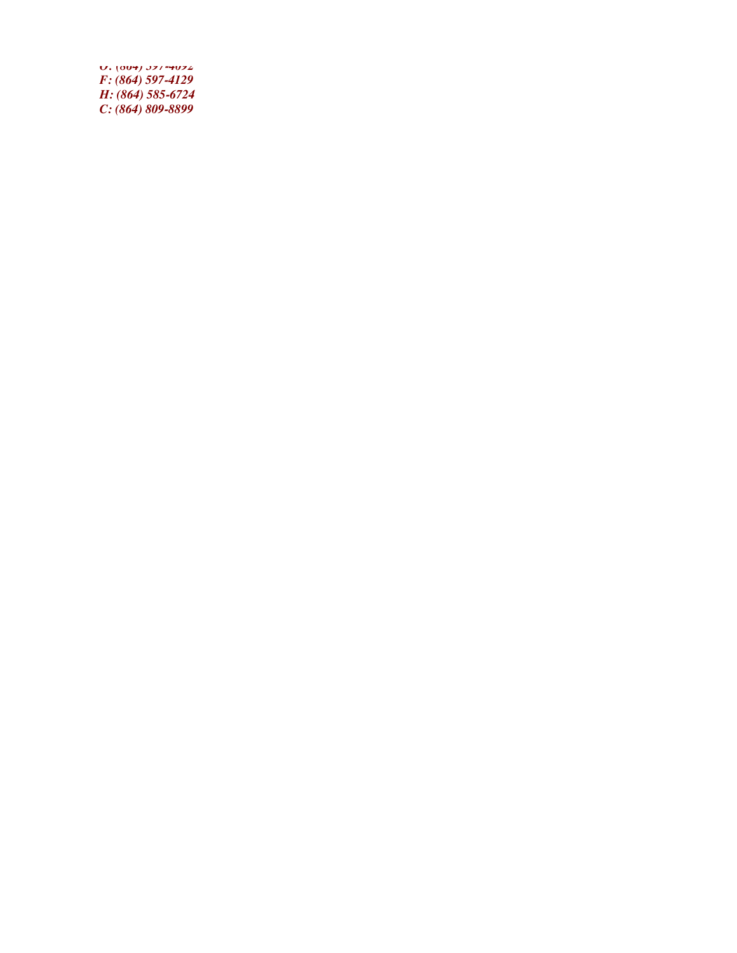*O: (864) 597-4092 F: (864) 597-4129 H: (864) 585-6724 C: (864) 809-8899*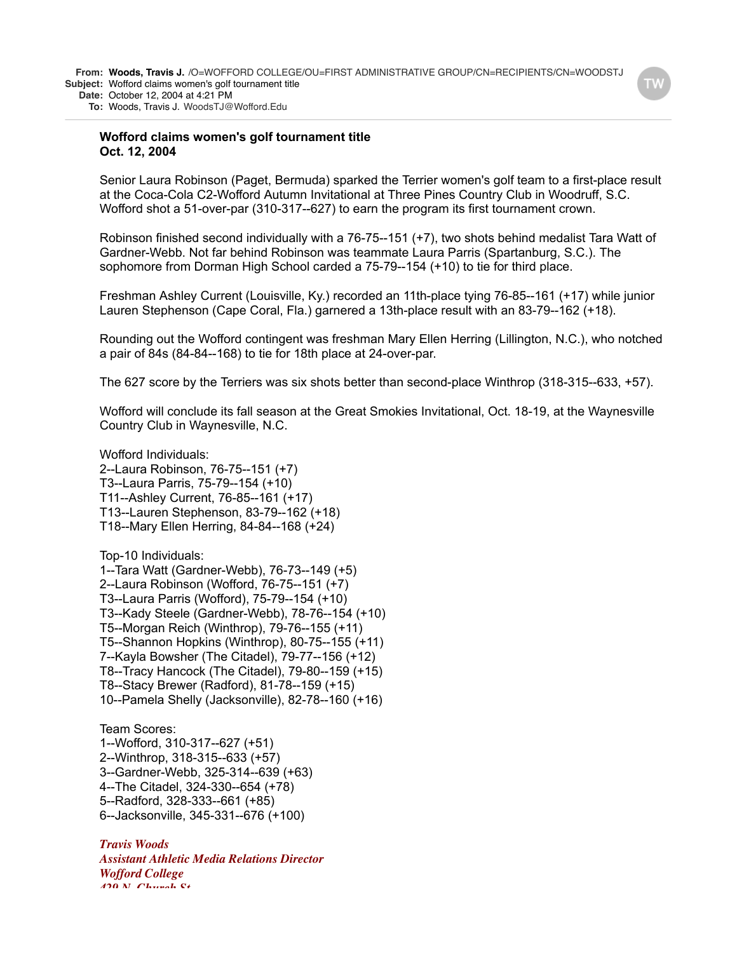#### **Wofford claims women's golf tournament title Oct. 12, 2004**

Senior Laura Robinson (Paget, Bermuda) sparked the Terrier women's golf team to a first-place result at the Coca-Cola C2-Wofford Autumn Invitational at Three Pines Country Club in Woodruff, S.C. Wofford shot a 51-over-par (310-317--627) to earn the program its first tournament crown.

Robinson finished second individually with a 76-75--151 (+7), two shots behind medalist Tara Watt of Gardner-Webb. Not far behind Robinson was teammate Laura Parris (Spartanburg, S.C.). The sophomore from Dorman High School carded a 75-79--154 (+10) to tie for third place.

Freshman Ashley Current (Louisville, Ky.) recorded an 11th-place tying 76-85--161 (+17) while junior Lauren Stephenson (Cape Coral, Fla.) garnered a 13th-place result with an 83-79--162 (+18).

Rounding out the Wofford contingent was freshman Mary Ellen Herring (Lillington, N.C.), who notched a pair of 84s (84-84--168) to tie for 18th place at 24-over-par.

The 627 score by the Terriers was six shots better than second-place Winthrop (318-315--633, +57).

Wofford will conclude its fall season at the Great Smokies Invitational, Oct. 18-19, at the Waynesville Country Club in Waynesville, N.C.

Wofford Individuals: 2--Laura Robinson, 76-75--151 (+7) T3--Laura Parris, 75-79--154 (+10) T11--Ashley Current, 76-85--161 (+17) T13--Lauren Stephenson, 83-79--162 (+18) T18--Mary Ellen Herring, 84-84--168 (+24)

Top-10 Individuals: 1--Tara Watt (Gardner-Webb), 76-73--149 (+5) 2--Laura Robinson (Wofford, 76-75--151 (+7) T3--Laura Parris (Wofford), 75-79--154 (+10) T3--Kady Steele (Gardner-Webb), 78-76--154 (+10) T5--Morgan Reich (Winthrop), 79-76--155 (+11) T5--Shannon Hopkins (Winthrop), 80-75--155 (+11) 7--Kayla Bowsher (The Citadel), 79-77--156 (+12) T8--Tracy Hancock (The Citadel), 79-80--159 (+15) T8--Stacy Brewer (Radford), 81-78--159 (+15) 10--Pamela Shelly (Jacksonville), 82-78--160 (+16)

Team Scores: 1--Wofford, 310-317--627 (+51) 2--Winthrop, 318-315--633 (+57) 3--Gardner-Webb, 325-314--639 (+63) 4--The Citadel, 324-330--654 (+78) 5--Radford, 328-333--661 (+85) 6--Jacksonville, 345-331--676 (+100)

*Travis Woods Assistant Athletic Media Relations Director Wofford College 429 N. Church St.*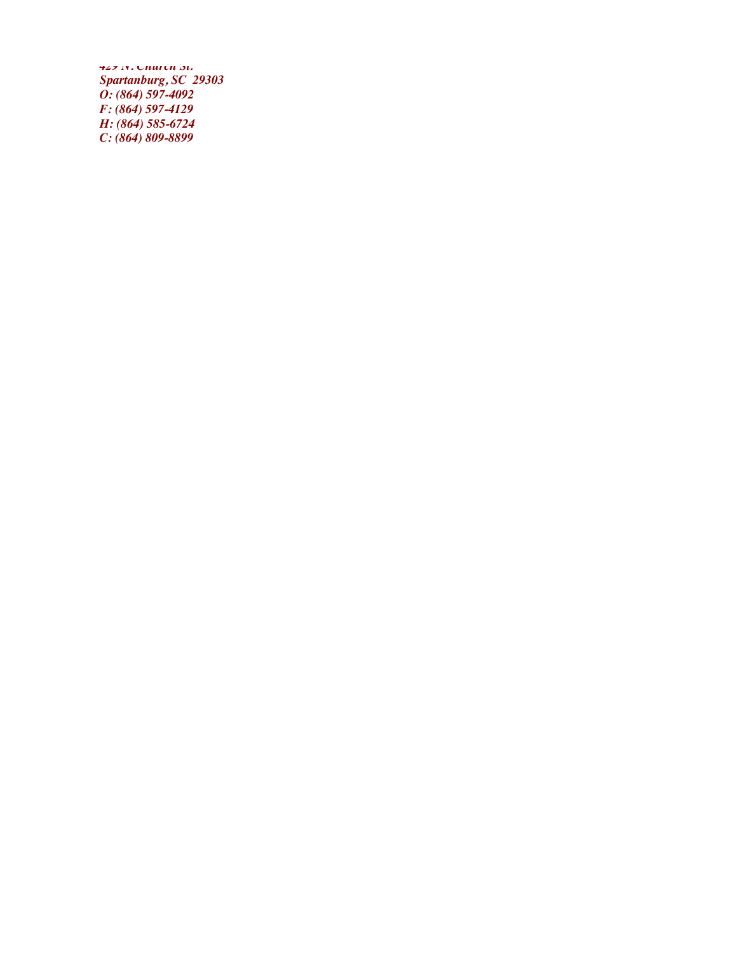*429 N. Church St. Spartanburg, SC 29303 O: (864) 597-4092 F: (864) 597-4129 H: (864) 585-6724 C: (864) 809-8899*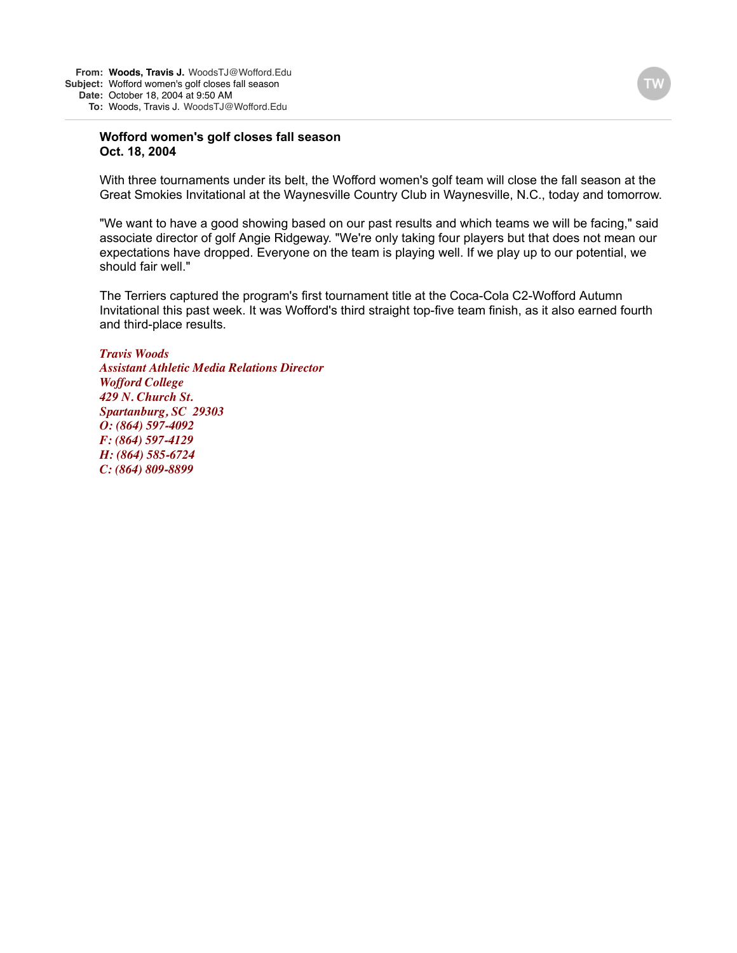### **Wofford women's golf closes fall season Oct. 18, 2004**

With three tournaments under its belt, the Wofford women's golf team will close the fall season at the Great Smokies Invitational at the Waynesville Country Club in Waynesville, N.C., today and tomorrow.

"We want to have a good showing based on our past results and which teams we will be facing," said associate director of golf Angie Ridgeway. "We're only taking four players but that does not mean our expectations have dropped. Everyone on the team is playing well. If we play up to our potential, we should fair well."

The Terriers captured the program's first tournament title at the Coca-Cola C2-Wofford Autumn Invitational this past week. It was Wofford's third straight top-five team finish, as it also earned fourth and third-place results.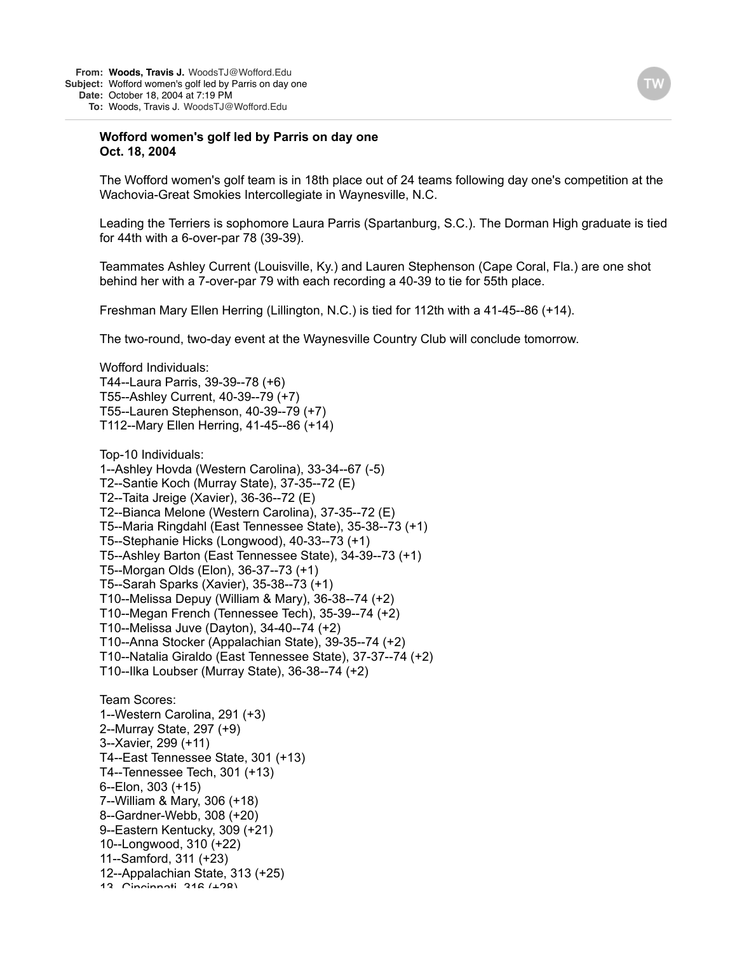#### **Wofford women's golf led by Parris on day one Oct. 18, 2004**

The Wofford women's golf team is in 18th place out of 24 teams following day one's competition at the Wachovia-Great Smokies Intercollegiate in Waynesville, N.C.

Leading the Terriers is sophomore Laura Parris (Spartanburg, S.C.). The Dorman High graduate is tied for 44th with a 6-over-par 78 (39-39).

Teammates Ashley Current (Louisville, Ky.) and Lauren Stephenson (Cape Coral, Fla.) are one shot behind her with a 7-over-par 79 with each recording a 40-39 to tie for 55th place.

Freshman Mary Ellen Herring (Lillington, N.C.) is tied for 112th with a 41-45--86 (+14).

The two-round, two-day event at the Waynesville Country Club will conclude tomorrow.

Wofford Individuals: T44--Laura Parris, 39-39--78 (+6) T55--Ashley Current, 40-39--79 (+7) T55--Lauren Stephenson, 40-39--79 (+7) T112--Mary Ellen Herring, 41-45--86 (+14) Top-10 Individuals: 1--Ashley Hovda (Western Carolina), 33-34--67 (-5) T2--Santie Koch (Murray State), 37-35--72 (E) T2--Taita Jreige (Xavier), 36-36--72 (E) T2--Bianca Melone (Western Carolina), 37-35--72 (E) T5--Maria Ringdahl (East Tennessee State), 35-38--73 (+1) T5--Stephanie Hicks (Longwood), 40-33--73 (+1) T5--Ashley Barton (East Tennessee State), 34-39--73 (+1) T5--Morgan Olds (Elon), 36-37--73 (+1) T5--Sarah Sparks (Xavier), 35-38--73 (+1) T10--Melissa Depuy (William & Mary), 36-38--74 (+2) T10--Megan French (Tennessee Tech), 35-39--74 (+2) T10--Melissa Juve (Dayton), 34-40--74 (+2) T10--Anna Stocker (Appalachian State), 39-35--74 (+2) T10--Natalia Giraldo (East Tennessee State), 37-37--74 (+2) T10--Ilka Loubser (Murray State), 36-38--74 (+2) Team Scores: 1--Western Carolina, 291 (+3) 2--Murray State, 297 (+9) 3--Xavier, 299 (+11) T4--East Tennessee State, 301 (+13) T4--Tennessee Tech, 301 (+13) 6--Elon, 303 (+15) 7--William & Mary, 306 (+18) 8--Gardner-Webb, 308 (+20) 9--Eastern Kentucky, 309 (+21)

10--Longwood, 310 (+22) 11--Samford, 311 (+23)

12--Appalachian State, 313 (+25)

12  $Cinpoint$  316  $(1.28)$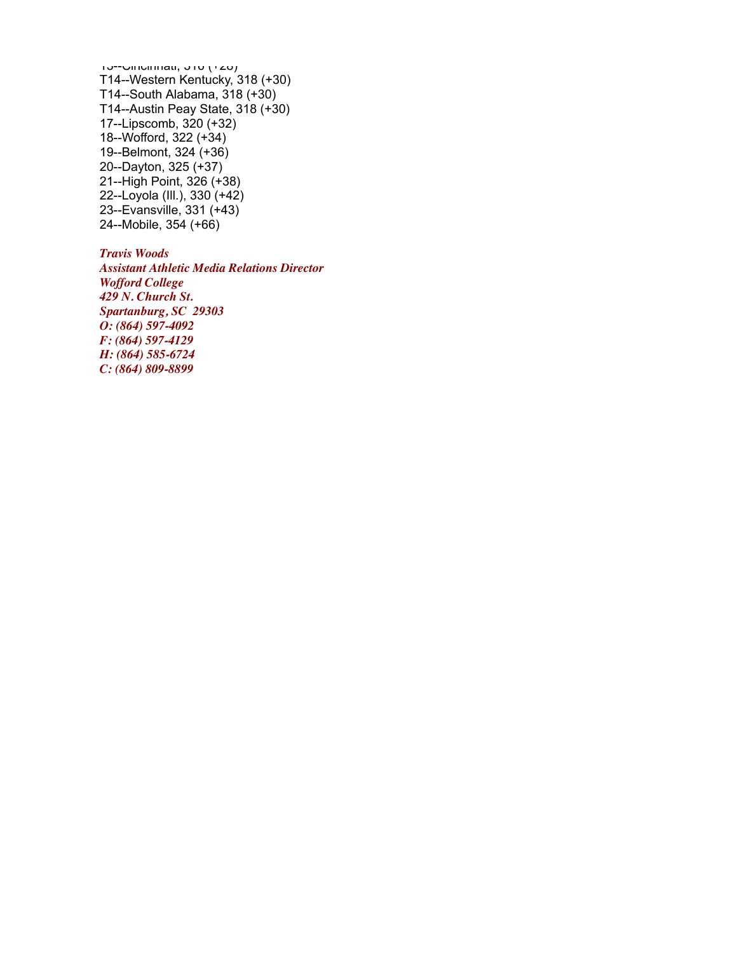$13$ -Cincinnati, 310 ( $\tau$ 20) T14--Western Kentucky, 318 (+30) T14--South Alabama, 318 (+30) T14--Austin Peay State, 318 (+30) 17--Lipscomb, 320 (+32) 18--Wofford, 322 (+34) 19--Belmont, 324 (+36) 20--Dayton, 325 (+37) 21--High Point, 326 (+38) 22--Loyola (Ill.), 330 (+42) 23--Evansville, 331 (+43) 24--Mobile, 354 (+66)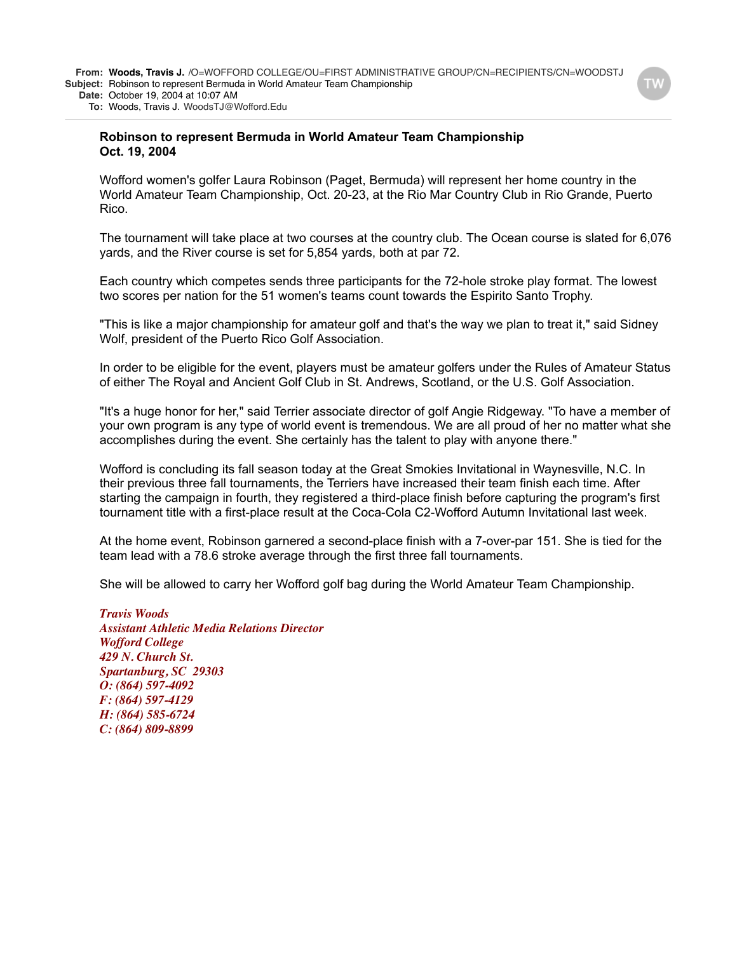**Date:** October 19, 2004 at 10:07 AM

**To:** Woods, Travis J. WoodsTJ@Wofford.Edu

#### **Robinson to represent Bermuda in World Amateur Team Championship Oct. 19, 2004**

Wofford women's golfer Laura Robinson (Paget, Bermuda) will represent her home country in the World Amateur Team Championship, Oct. 20-23, at the Rio Mar Country Club in Rio Grande, Puerto Rico.

The tournament will take place at two courses at the country club. The Ocean course is slated for 6,076 yards, and the River course is set for 5,854 yards, both at par 72.

Each country which competes sends three participants for the 72-hole stroke play format. The lowest two scores per nation for the 51 women's teams count towards the Espirito Santo Trophy.

"This is like a major championship for amateur golf and that's the way we plan to treat it," said Sidney Wolf, president of the Puerto Rico Golf Association.

In order to be eligible for the event, players must be amateur golfers under the Rules of Amateur Status of either The Royal and Ancient Golf Club in St. Andrews, Scotland, or the U.S. Golf Association.

"It's a huge honor for her," said Terrier associate director of golf Angie Ridgeway. "To have a member of your own program is any type of world event is tremendous. We are all proud of her no matter what she accomplishes during the event. She certainly has the talent to play with anyone there."

Wofford is concluding its fall season today at the Great Smokies Invitational in Waynesville, N.C. In their previous three fall tournaments, the Terriers have increased their team finish each time. After starting the campaign in fourth, they registered a third-place finish before capturing the program's first tournament title with a first-place result at the Coca-Cola C2-Wofford Autumn Invitational last week.

At the home event, Robinson garnered a second-place finish with a 7-over-par 151. She is tied for the team lead with a 78.6 stroke average through the first three fall tournaments.

She will be allowed to carry her Wofford golf bag during the World Amateur Team Championship.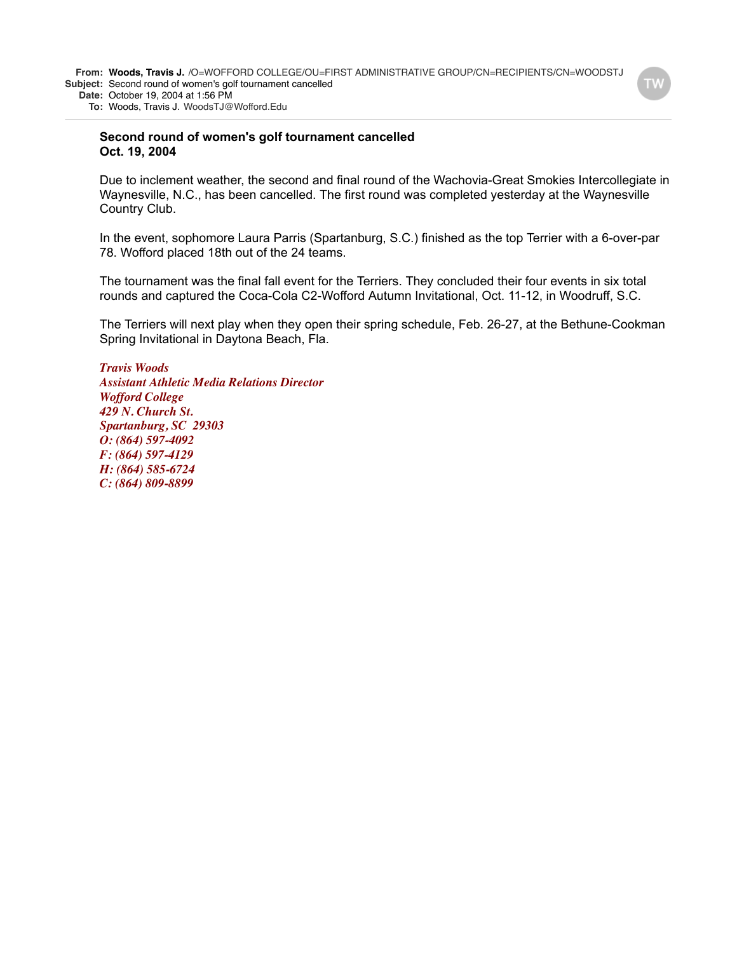**From: Woods, Travis J.** /O=WOFFORD COLLEGE/OU=FIRST ADMINISTRATIVE GROUP/CN=RECIPIENTS/CN=WOODSTJ **Subject:** Second round of women's golf tournament cancelled **Date:** October 19, 2004 at 1:56 PM

**To:** Woods, Travis J. WoodsTJ@Wofford.Edu

#### **Second round of women's golf tournament cancelled Oct. 19, 2004**

Due to inclement weather, the second and final round of the Wachovia-Great Smokies Intercollegiate in Waynesville, N.C., has been cancelled. The first round was completed yesterday at the Waynesville Country Club.

In the event, sophomore Laura Parris (Spartanburg, S.C.) finished as the top Terrier with a 6-over-par 78. Wofford placed 18th out of the 24 teams.

The tournament was the final fall event for the Terriers. They concluded their four events in six total rounds and captured the Coca-Cola C2-Wofford Autumn Invitational, Oct. 11-12, in Woodruff, S.C.

The Terriers will next play when they open their spring schedule, Feb. 26-27, at the Bethune-Cookman Spring Invitational in Daytona Beach, Fla.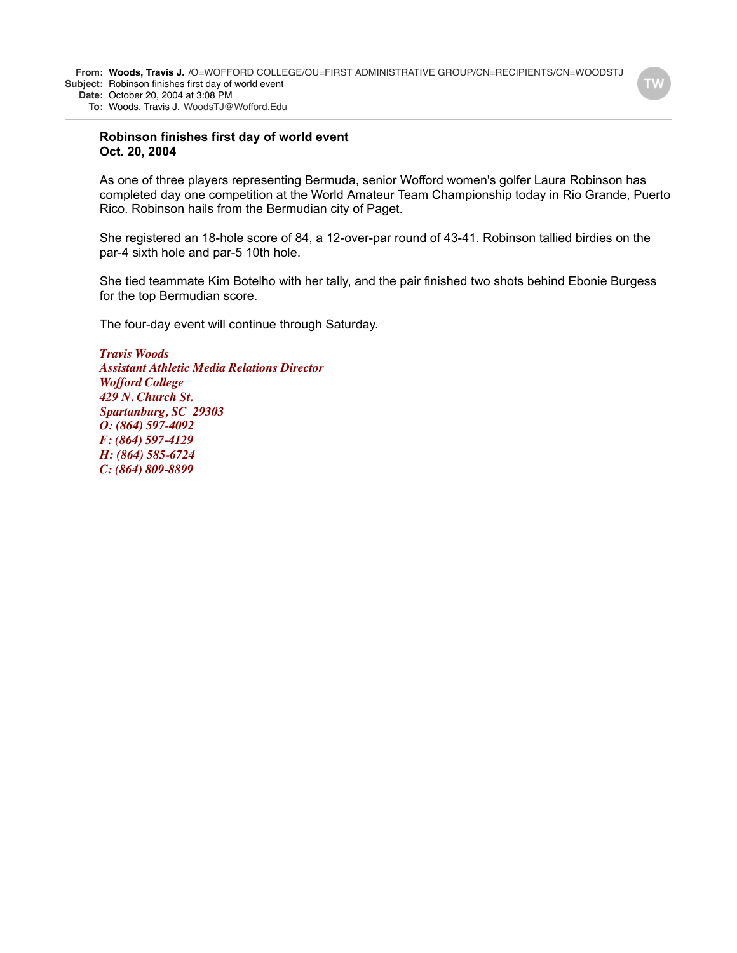**Robinson finishes first day of world event Oct. 20, 2004**

As one of three players representing Bermuda, senior Wofford women's golfer Laura Robinson has completed day one competition at the World Amateur Team Championship today in Rio Grande, Puerto Rico. Robinson hails from the Bermudian city of Paget.

She registered an 18-hole score of 84, a 12-over-par round of 43-41. Robinson tallied birdies on the par-4 sixth hole and par-5 10th hole.

She tied teammate Kim Botelho with her tally, and the pair finished two shots behind Ebonie Burgess for the top Bermudian score.

The four-day event will continue through Saturday.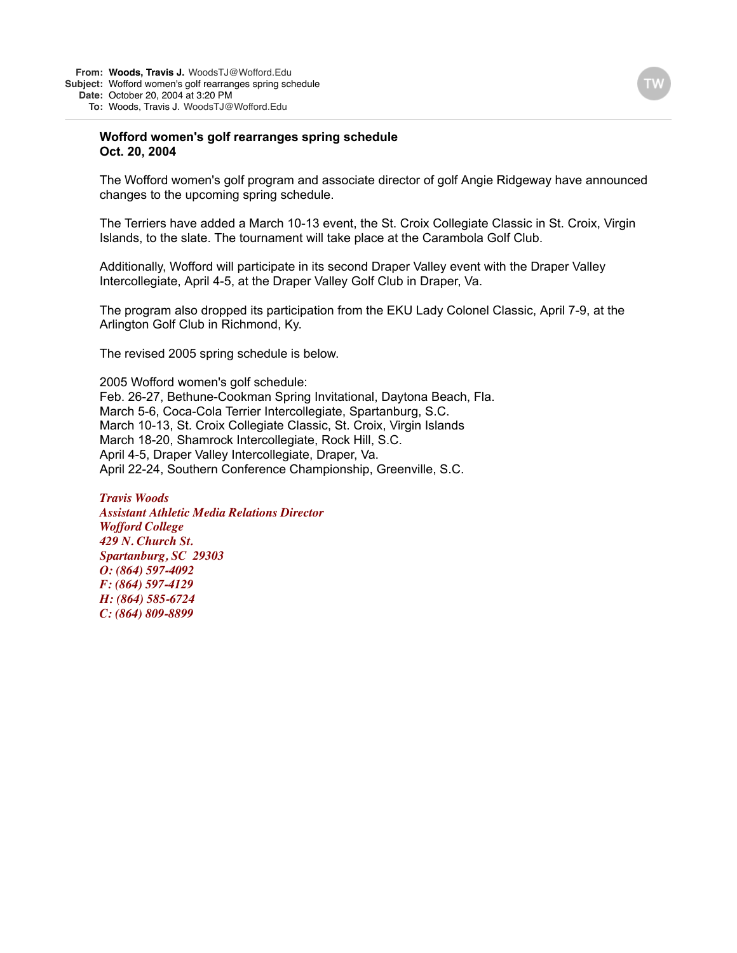#### **Wofford women's golf rearranges spring schedule Oct. 20, 2004**

The Wofford women's golf program and associate director of golf Angie Ridgeway have announced changes to the upcoming spring schedule.

The Terriers have added a March 10-13 event, the St. Croix Collegiate Classic in St. Croix, Virgin Islands, to the slate. The tournament will take place at the Carambola Golf Club.

Additionally, Wofford will participate in its second Draper Valley event with the Draper Valley Intercollegiate, April 4-5, at the Draper Valley Golf Club in Draper, Va.

The program also dropped its participation from the EKU Lady Colonel Classic, April 7-9, at the Arlington Golf Club in Richmond, Ky.

The revised 2005 spring schedule is below.

2005 Wofford women's golf schedule: Feb. 26-27, Bethune-Cookman Spring Invitational, Daytona Beach, Fla. March 5-6, Coca-Cola Terrier Intercollegiate, Spartanburg, S.C. March 10-13, St. Croix Collegiate Classic, St. Croix, Virgin Islands March 18-20, Shamrock Intercollegiate, Rock Hill, S.C. April 4-5, Draper Valley Intercollegiate, Draper, Va. April 22-24, Southern Conference Championship, Greenville, S.C.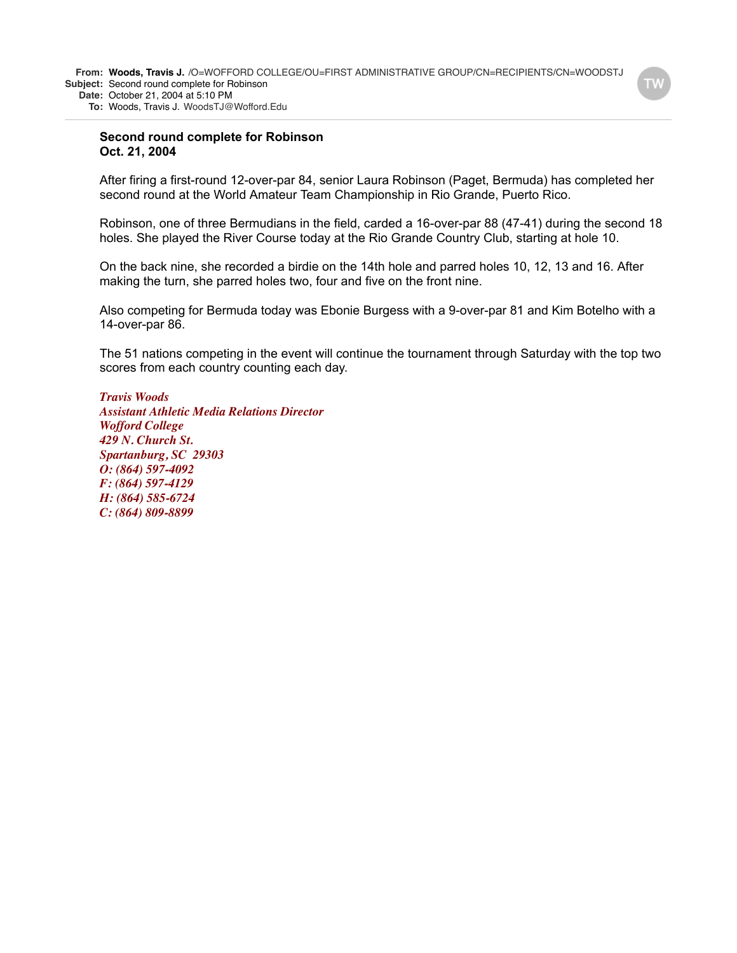#### **Second round complete for Robinson Oct. 21, 2004**

After firing a first-round 12-over-par 84, senior Laura Robinson (Paget, Bermuda) has completed her second round at the World Amateur Team Championship in Rio Grande, Puerto Rico.

Robinson, one of three Bermudians in the field, carded a 16-over-par 88 (47-41) during the second 18 holes. She played the River Course today at the Rio Grande Country Club, starting at hole 10.

On the back nine, she recorded a birdie on the 14th hole and parred holes 10, 12, 13 and 16. After making the turn, she parred holes two, four and five on the front nine.

Also competing for Bermuda today was Ebonie Burgess with a 9-over-par 81 and Kim Botelho with a 14-over-par 86.

The 51 nations competing in the event will continue the tournament through Saturday with the top two scores from each country counting each day.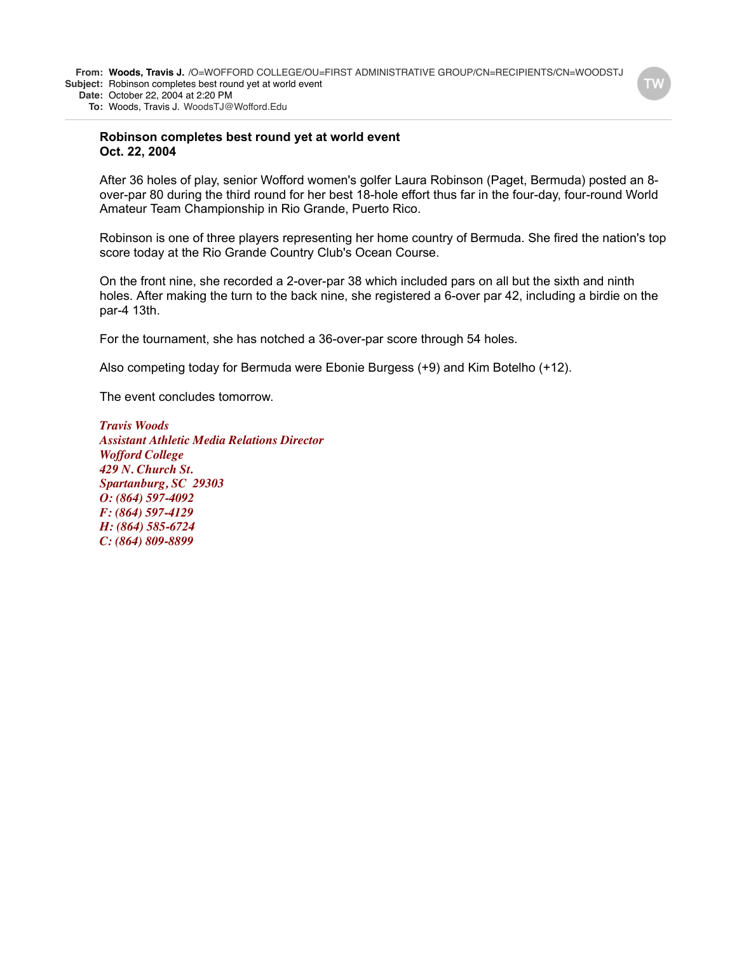**To:** Woods, Travis J. WoodsTJ@Wofford.Edu

#### **Robinson completes best round yet at world event Oct. 22, 2004**

After 36 holes of play, senior Wofford women's golfer Laura Robinson (Paget, Bermuda) posted an 8 over-par 80 during the third round for her best 18-hole effort thus far in the four-day, four-round World Amateur Team Championship in Rio Grande, Puerto Rico.

Robinson is one of three players representing her home country of Bermuda. She fired the nation's top score today at the Rio Grande Country Club's Ocean Course.

On the front nine, she recorded a 2-over-par 38 which included pars on all but the sixth and ninth holes. After making the turn to the back nine, she registered a 6-over par 42, including a birdie on the par-4 13th.

For the tournament, she has notched a 36-over-par score through 54 holes.

Also competing today for Bermuda were Ebonie Burgess (+9) and Kim Botelho (+12).

The event concludes tomorrow.